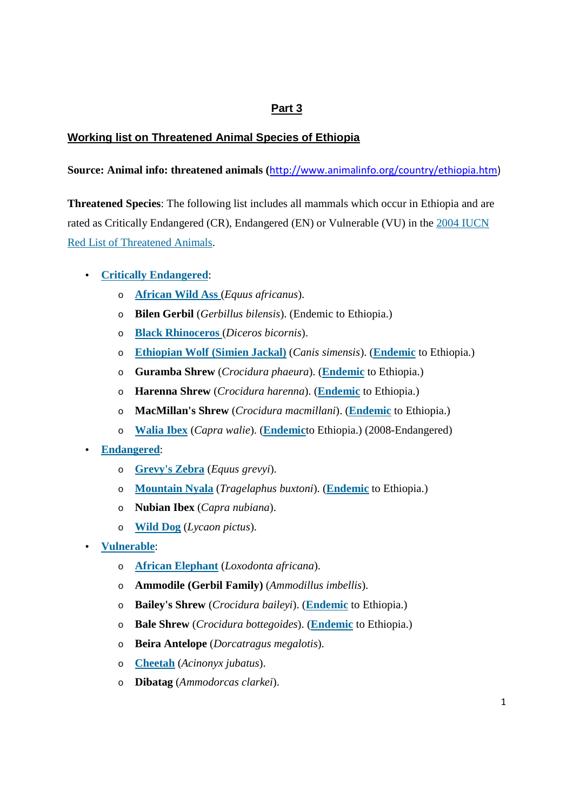## **Part 3**

## **Working list on Threatened Animal Species of Ethiopia**

## **Source: Animal info: threatened animals (**http://www.animalinfo.org/country/ethiopia.htm)

**Threatened Species**: The following list includes all mammals which occur in Ethiopia and are rated as Critically Endangered (CR), Endangered (EN) or Vulnerable (VU) in the 2004 IUCN Red List of Threatened Animals.

## • **Critically Endangered**:

- o **African Wild Ass** (*Equus africanus*).
- o **Bilen Gerbil** (*Gerbillus bilensis*). (Endemic to Ethiopia.)
- o **Black Rhinoceros** (*Diceros bicornis*).
- o **Ethiopian Wolf (Simien Jackal)** (*Canis simensis*). (**Endemic** to Ethiopia.)
- o **Guramba Shrew** (*Crocidura phaeura*). (**Endemic** to Ethiopia.)
- o **Harenna Shrew** (*Crocidura harenna*). (**Endemic** to Ethiopia.)
- o **MacMillan's Shrew** (*Crocidura macmillani*). (**Endemic** to Ethiopia.)
- o **Walia Ibex** (*Capra walie*). (**Endemic**to Ethiopia.) (2008-Endangered)
- **Endangered**:
	- o **Grevy's Zebra** (*Equus grevyi*).
	- o **Mountain Nyala** (*Tragelaphus buxtoni*). (**Endemic** to Ethiopia.)
	- o **Nubian Ibex** (*Capra nubiana*).
	- o **Wild Dog** (*Lycaon pictus*).
- **Vulnerable**:
	- o **African Elephant** (*Loxodonta africana*).
	- o **Ammodile (Gerbil Family)** (*Ammodillus imbellis*).
	- o **Bailey's Shrew** (*Crocidura baileyi*). (**Endemic** to Ethiopia.)
	- o **Bale Shrew** (*Crocidura bottegoides*). (**Endemic** to Ethiopia.)
	- o **Beira Antelope** (*Dorcatragus megalotis*).
	- o **Cheetah** (*Acinonyx jubatus*).
	- o **Dibatag** (*Ammodorcas clarkei*).